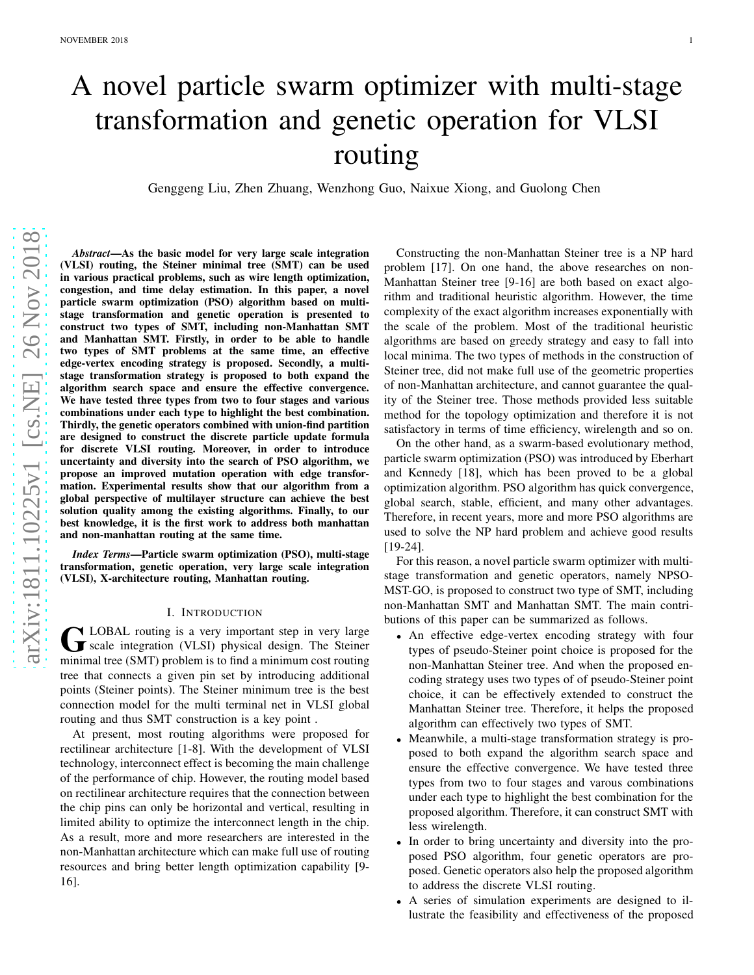# A novel particle swarm optimizer with multi-stage transformation and genetic operation for VLSI routing

Genggeng Liu, Zhen Zhuang, Wenzhong Guo, Naixue Xiong, and Guolong Chen

*Abstract*—As the basic model for very large scale integration (VLSI) routing, the Steiner minimal tree (SMT) can be used in various practical problems, such as wire length optimization, congestion, and time delay estimation. In this paper, a nove l particle swarm optimization (PSO) algorithm based on multi stage transformation and genetic operation is presented to construct two types of SMT, including non-Manhattan SMT and Manhattan SMT. Firstly, in order to be able to handle two types of SMT problems at the same time, an effective edge-vertex encoding strategy is proposed. Secondly, a multistage transformation strategy is proposed to both expand the algorithm search space and ensure the effective convergence. We have tested three types from two to four stages and various combinations under each type to highlight the best combination. Thirdly, the genetic operators combined with union-find partition are designed to construct the discrete particle update formula for discrete VLSI routing. Moreover, in order to introduce uncertainty and diversity into the search of PSO algorithm, we propose an improved mutation operation with edge transformation. Experimental results show that our algorithm from a global perspective of multilayer structure can achieve the best solution quality among the existing algorithms. Finally, to our best knowledge, it is the first work to address both manhattan and non-manhattan routing at the same time.

*Index Terms*—Particle swarm optimization (PSO), multi-stage transformation, genetic operation, very large scale integration (VLSI), X-architecture routing, Manhattan routing.

#### I. INTRODUCTION

G LOBAL routing is a very important step in very large<br>scale integration (VLSI) physical design. The Steiner **N** LOBAL routing is a very important step in very large minimal tree (SMT) problem is to find a minimum cost routing tree that connects a given pin set by introducing additional points (Steiner points). The Steiner minimum tree is the bes t connection model for the multi terminal net in VLSI global routing and thus SMT construction is a key point .

At present, most routing algorithms were proposed for rectilinear architecture [1-8]. With the development of VLSI technology, interconnect effect is becoming the main challenge of the performance of chip. However, the routing model based on rectilinear architecture requires that the connection between the chip pins can only be horizontal and vertical, resulting in limited ability to optimize the interconnect length in the chip. As a result, more and more researchers are interested in the non-Manhattan architecture which can make full use of routing resources and bring better length optimization capability [9- 16].

Constructing the non-Manhattan Steiner tree is a NP hard problem [17]. On one hand, the above researches on non-Manhattan Steiner tree [9-16] are both based on exact algorithm and traditional heuristic algorithm. However, the time complexity of the exact algorithm increases exponentially with the scale of the problem. Most of the traditional heuristic algorithms are based on greedy strategy and easy to fall into local minima. The two types of methods in the construction of Steiner tree, did not make full use of the geometric properties of non-Manhattan architecture, and cannot guarantee the quality of the Steiner tree. Those methods provided less suitable method for the topology optimization and therefore it is not satisfactory in terms of time efficiency, wirelength and so on.

On the other hand, as a swarm-based evolutionary method, particle swarm optimization (PSO) was introduced by Eberhart and Kennedy [18], which has been proved to be a global optimization algorithm. PSO algorithm has quick convergence, global search, stable, efficient, and many other advantages . Therefore, in recent years, more and more PSO algorithms are used to solve the NP hard problem and achieve good results [19-24].

For this reason, a novel particle swarm optimizer with multi stage transformation and genetic operators, namely NPSO-MST-GO, is proposed to construct two type of SMT, including non-Manhattan SMT and Manhattan SMT. The main contributions of this paper can be summarized as follows.

- An effective edge-vertex encoding strategy with four types of pseudo-Steiner point choice is proposed for the non-Manhattan Steiner tree. And when the proposed encoding strategy uses two types of of pseudo-Steiner point choice, it can be effectively extended to construct the Manhattan Steiner tree. Therefore, it helps the proposed algorithm can effectively two types of SMT.
- Meanwhile, a multi-stage transformation strategy is proposed to both expand the algorithm search space and ensure the effective convergence. We have tested three types from two to four stages and varous combinations under each type to highlight the best combination for the proposed algorithm. Therefore, it can construct SMT with less wirelength.
- In order to bring uncertainty and diversity into the proposed PSO algorithm, four genetic operators are proposed. Genetic operators also help the proposed algorithm to address the discrete VLSI routing.
- A series of simulation experiments are designed to illustrate the feasibility and effectiveness of the proposed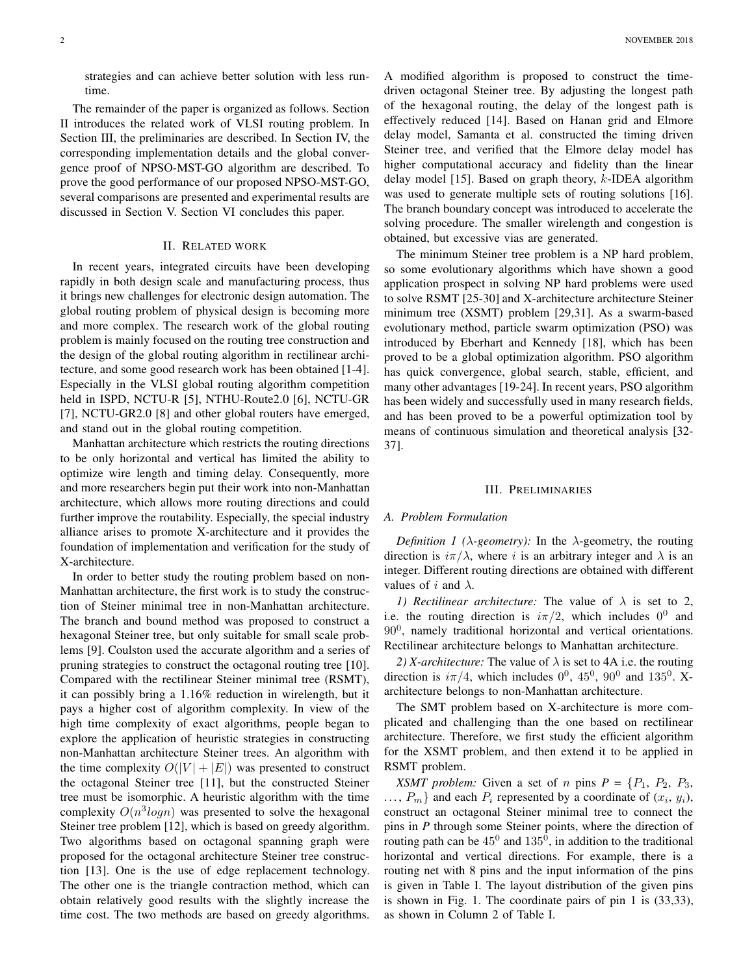strategies and can achieve better solution with less runtime.

The remainder of the paper is organized as follows. Section II introduces the related work of VLSI routing problem. In Section III, the preliminaries are described. In Section IV, the corresponding implementation details and the global convergence proof of NPSO-MST-GO algorithm are described. To prove the good performance of our proposed NPSO-MST-GO, several comparisons are presented and experimental results are discussed in Section V. Section VI concludes this paper.

#### II. RELATED WORK

In recent years, integrated circuits have been developing rapidly in both design scale and manufacturing process, thus it brings new challenges for electronic design automation. The global routing problem of physical design is becoming more and more complex. The research work of the global routing problem is mainly focused on the routing tree construction and the design of the global routing algorithm in rectilinear architecture, and some good research work has been obtained [1-4]. Especially in the VLSI global routing algorithm competition held in ISPD, NCTU-R [5], NTHU-Route2.0 [6], NCTU-GR [7], NCTU-GR2.0 [8] and other global routers have emerged, and stand out in the global routing competition.

Manhattan architecture which restricts the routing directions to be only horizontal and vertical has limited the ability to optimize wire length and timing delay. Consequently, more and more researchers begin put their work into non-Manhattan architecture, which allows more routing directions and could further improve the routability. Especially, the special industry alliance arises to promote X-architecture and it provides the foundation of implementation and verification for the study of X-architecture.

In order to better study the routing problem based on non-Manhattan architecture, the first work is to study the construction of Steiner minimal tree in non-Manhattan architecture. The branch and bound method was proposed to construct a hexagonal Steiner tree, but only suitable for small scale problems [9]. Coulston used the accurate algorithm and a series of pruning strategies to construct the octagonal routing tree [10]. Compared with the rectilinear Steiner minimal tree (RSMT), it can possibly bring a 1.16% reduction in wirelength, but it pays a higher cost of algorithm complexity. In view of the high time complexity of exact algorithms, people began to explore the application of heuristic strategies in constructing non-Manhattan architecture Steiner trees. An algorithm with the time complexity  $O(|V| + |E|)$  was presented to construct the octagonal Steiner tree [11], but the constructed Steiner tree must be isomorphic. A heuristic algorithm with the time complexity  $O(n^3 log n)$  was presented to solve the hexagonal Steiner tree problem [12], which is based on greedy algorithm. Two algorithms based on octagonal spanning graph were proposed for the octagonal architecture Steiner tree construction [13]. One is the use of edge replacement technology. The other one is the triangle contraction method, which can obtain relatively good results with the slightly increase the time cost. The two methods are based on greedy algorithms.

A modified algorithm is proposed to construct the timedriven octagonal Steiner tree. By adjusting the longest path of the hexagonal routing, the delay of the longest path is effectively reduced [14]. Based on Hanan grid and Elmore delay model, Samanta et al. constructed the timing driven Steiner tree, and verified that the Elmore delay model has higher computational accuracy and fidelity than the linear delay model  $[15]$ . Based on graph theory, k-IDEA algorithm was used to generate multiple sets of routing solutions [16]. The branch boundary concept was introduced to accelerate the solving procedure. The smaller wirelength and congestion is obtained, but excessive vias are generated.

The minimum Steiner tree problem is a NP hard problem, so some evolutionary algorithms which have shown a good application prospect in solving NP hard problems were used to solve RSMT [25-30] and X-architecture architecture Steiner minimum tree (XSMT) problem [29,31]. As a swarm-based evolutionary method, particle swarm optimization (PSO) was introduced by Eberhart and Kennedy [18], which has been proved to be a global optimization algorithm. PSO algorithm has quick convergence, global search, stable, efficient, and many other advantages [19-24]. In recent years, PSO algorithm has been widely and successfully used in many research fields, and has been proved to be a powerful optimization tool by means of continuous simulation and theoretical analysis [32- 37].

#### III. PRELIMINARIES

#### *A. Problem Formulation*

*Definition 1 (* $\lambda$ *-geometry):* In the  $\lambda$ -geometry, the routing direction is  $i\pi/\lambda$ , where i is an arbitrary integer and  $\lambda$  is an integer. Different routing directions are obtained with different values of i and  $\lambda$ .

*1) Rectilinear architecture:* The value of  $\lambda$  is set to 2, i.e. the routing direction is  $i\pi/2$ , which includes  $0^0$  and 90<sup>0</sup> , namely traditional horizontal and vertical orientations. Rectilinear architecture belongs to Manhattan architecture.

2) *X-architecture:* The value of  $\lambda$  is set to 4A i.e. the routing direction is  $i\pi/4$ , which includes  $0^0$ ,  $45^0$ ,  $90^0$  and  $135^0$ . Xarchitecture belongs to non-Manhattan architecture.

The SMT problem based on X-architecture is more complicated and challenging than the one based on rectilinear architecture. Therefore, we first study the efficient algorithm for the XSMT problem, and then extend it to be applied in RSMT problem.

*XSMT problem:* Given a set of *n* pins  $P = \{P_1, P_2, P_3, P_4, P_5, P_6, P_7, P_8, P_9, P_9, P_{10}, P_{11}, P_{12}, P_{13}, P_{14}, P_{15}, P_{16}, P_{17}, P_{18}, P_{19}, P_{10}, P_{11}, P_{12}, P_{13}, P_{14}, P_{15}, P_{16}, P_{17}, P_{18}, P_{19}, P_{10}, P_{11}, P_{12}, P_{13}, P_{14}, P_{15}, P_{16}, P$  $..., P_m$ } and each  $P_i$  represented by a coordinate of  $(x_i, y_i)$ , construct an octagonal Steiner minimal tree to connect the pins in *P* through some Steiner points, where the direction of routing path can be  $45^0$  and  $135^0$ , in addition to the traditional horizontal and vertical directions. For example, there is a routing net with 8 pins and the input information of the pins is given in Table I. The layout distribution of the given pins is shown in Fig. 1. The coordinate pairs of pin 1 is (33,33), as shown in Column 2 of Table I.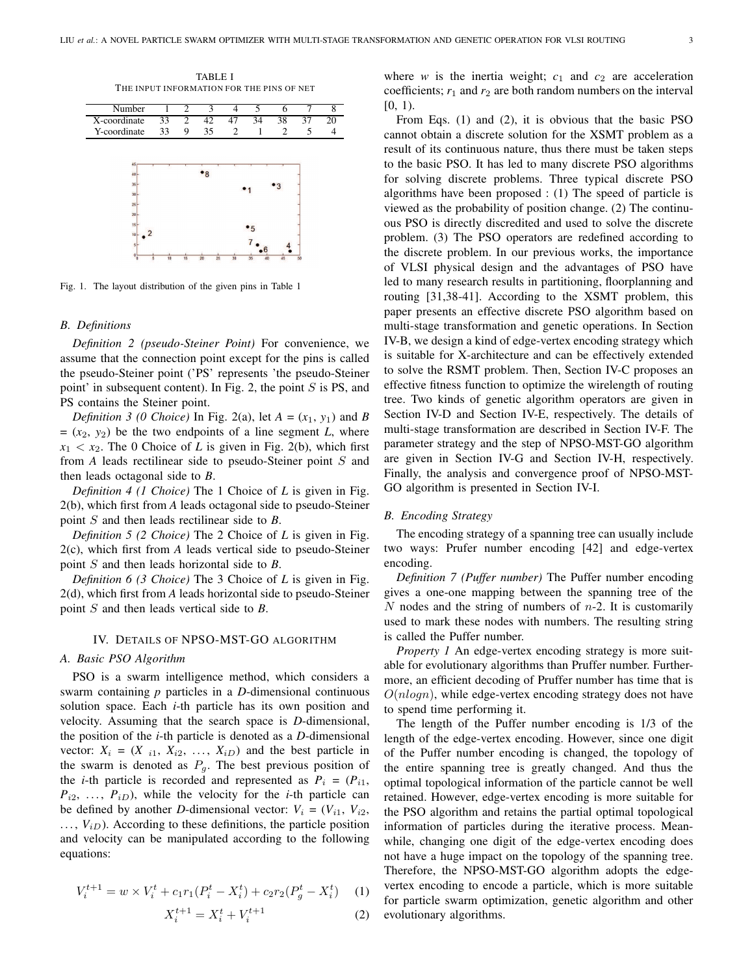



Fig. 1. The layout distribution of the given pins in Table 1

# *B. Definitions*

*Definition 2 (pseudo-Steiner Point)* For convenience, we assume that the connection point except for the pins is called the pseudo-Steiner point ('PS' represents 'the pseudo-Steiner point' in subsequent content). In Fig. 2, the point  $S$  is PS, and PS contains the Steiner point.

*Definition 3 (0 Choice)* In Fig. 2(a), let  $A = (x_1, y_1)$  and *B*  $=(x_2, y_2)$  be the two endpoints of a line segment *L*, where  $x_1 < x_2$ . The 0 Choice of *L* is given in Fig. 2(b), which first from *A* leads rectilinear side to pseudo-Steiner point S and then leads octagonal side to *B*.

*Definition 4 (1 Choice)* The 1 Choice of *L* is given in Fig. 2(b), which first from *A* leads octagonal side to pseudo-Steiner point S and then leads rectilinear side to *B*.

*Definition 5 (2 Choice)* The 2 Choice of *L* is given in Fig. 2(c), which first from *A* leads vertical side to pseudo-Steiner point S and then leads horizontal side to *B*.

*Definition 6 (3 Choice)* The 3 Choice of *L* is given in Fig. 2(d), which first from *A* leads horizontal side to pseudo-Steiner point S and then leads vertical side to *B*.

#### IV. DETAILS OF NPSO-MST-GO ALGORITHM

# *A. Basic PSO Algorithm*

PSO is a swarm intelligence method, which considers a swarm containing *p* particles in a *D*-dimensional continuous solution space. Each *i*-th particle has its own position and velocity. Assuming that the search space is *D*-dimensional, the position of the *i*-th particle is denoted as a *D*-dimensional vector:  $X_i = (X_{i1}, X_{i2}, \ldots, X_{iD})$  and the best particle in the swarm is denoted as  $P<sub>g</sub>$ . The best previous position of the *i*-th particle is recorded and represented as  $P_i = (P_{i1},$  $P_{i2}$ , ...,  $P_{iD}$ ), while the velocity for the *i*-th particle can be defined by another *D*-dimensional vector:  $V_i = (V_{i1}, V_{i2},$  $\ldots$ ,  $V_{iD}$ ). According to these definitions, the particle position and velocity can be manipulated according to the following equations:

$$
V_i^{t+1} = w \times V_i^t + c_1 r_1 (P_i^t - X_i^t) + c_2 r_2 (P_g^t - X_i^t) \tag{1}
$$

$$
X_i^{t+1} = X_i^t + V_i^{t+1}
$$
 (2)

where *w* is the inertia weight;  $c_1$  and  $c_2$  are acceleration coefficients;  $r_1$  and  $r_2$  are both random numbers on the interval  $[0, 1)$ .

From Eqs. (1) and (2), it is obvious that the basic PSO cannot obtain a discrete solution for the XSMT problem as a result of its continuous nature, thus there must be taken steps to the basic PSO. It has led to many discrete PSO algorithms for solving discrete problems. Three typical discrete PSO algorithms have been proposed : (1) The speed of particle is viewed as the probability of position change. (2) The continuous PSO is directly discredited and used to solve the discrete problem. (3) The PSO operators are redefined according to the discrete problem. In our previous works, the importance of VLSI physical design and the advantages of PSO have led to many research results in partitioning, floorplanning and routing [31,38-41]. According to the XSMT problem, this paper presents an effective discrete PSO algorithm based on multi-stage transformation and genetic operations. In Section IV-B, we design a kind of edge-vertex encoding strategy which is suitable for X-architecture and can be effectively extended to solve the RSMT problem. Then, Section IV-C proposes an effective fitness function to optimize the wirelength of routing tree. Two kinds of genetic algorithm operators are given in Section IV-D and Section IV-E, respectively. The details of multi-stage transformation are described in Section IV-F. The parameter strategy and the step of NPSO-MST-GO algorithm are given in Section IV-G and Section IV-H, respectively. Finally, the analysis and convergence proof of NPSO-MST-GO algorithm is presented in Section IV-I.

#### *B. Encoding Strategy*

The encoding strategy of a spanning tree can usually include two ways: Prufer number encoding [42] and edge-vertex encoding.

*Definition 7 (Puffer number)* The Puffer number encoding gives a one-one mapping between the spanning tree of the N nodes and the string of numbers of  $n-2$ . It is customarily used to mark these nodes with numbers. The resulting string is called the Puffer number.

*Property 1* An edge-vertex encoding strategy is more suitable for evolutionary algorithms than Pruffer number. Furthermore, an efficient decoding of Pruffer number has time that is  $O(nlog n)$ , while edge-vertex encoding strategy does not have to spend time performing it.

The length of the Puffer number encoding is 1/3 of the length of the edge-vertex encoding. However, since one digit of the Puffer number encoding is changed, the topology of the entire spanning tree is greatly changed. And thus the optimal topological information of the particle cannot be well retained. However, edge-vertex encoding is more suitable for the PSO algorithm and retains the partial optimal topological information of particles during the iterative process. Meanwhile, changing one digit of the edge-vertex encoding does not have a huge impact on the topology of the spanning tree. Therefore, the NPSO-MST-GO algorithm adopts the edgevertex encoding to encode a particle, which is more suitable for particle swarm optimization, genetic algorithm and other evolutionary algorithms.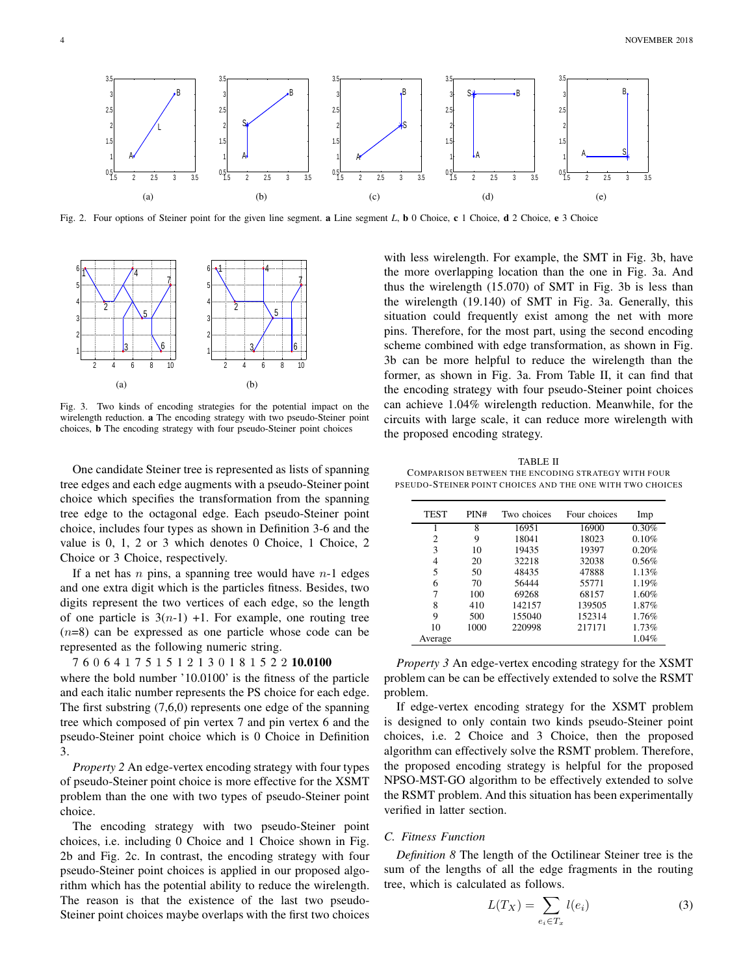

Fig. 2. Four options of Steiner point for the given line segment. a Line segment *L*, **b** 0 Choice, c 1 Choice, **d** 2 Choice, **e** 3 Choice



Fig. 3. Two kinds of encoding strategies for the potential impact on the wirelength reduction. a The encoding strategy with two pseudo-Steiner point choices, b The encoding strategy with four pseudo-Steiner point choices

One candidate Steiner tree is represented as lists of spanning tree edges and each edge augments with a pseudo-Steiner point choice which specifies the transformation from the spanning tree edge to the octagonal edge. Each pseudo-Steiner point choice, includes four types as shown in Definition 3-6 and the value is 0, 1, 2 or 3 which denotes 0 Choice, 1 Choice, 2 Choice or 3 Choice, respectively.

If a net has  $n$  pins, a spanning tree would have  $n-1$  edges and one extra digit which is the particles fitness. Besides, two digits represent the two vertices of each edge, so the length of one particle is  $3(n-1) +1$ . For example, one routing tree  $(n=8)$  can be expressed as one particle whose code can be represented as the following numeric string.

7 6 0 6 4 1 7 5 1 5 1 2 1 3 0 1 8 1 5 2 2 10.0100

where the bold number '10.0100' is the fitness of the particle and each italic number represents the PS choice for each edge. The first substring (7,6,0) represents one edge of the spanning tree which composed of pin vertex 7 and pin vertex 6 and the pseudo-Steiner point choice which is 0 Choice in Definition 3.

*Property 2* An edge-vertex encoding strategy with four types of pseudo-Steiner point choice is more effective for the XSMT problem than the one with two types of pseudo-Steiner point choice.

The encoding strategy with two pseudo-Steiner point choices, i.e. including 0 Choice and 1 Choice shown in Fig. 2b and Fig. 2c. In contrast, the encoding strategy with four pseudo-Steiner point choices is applied in our proposed algorithm which has the potential ability to reduce the wirelength. The reason is that the existence of the last two pseudo-Steiner point choices maybe overlaps with the first two choices

with less wirelength. For example, the SMT in Fig. 3b, have the more overlapping location than the one in Fig. 3a. And thus the wirelength (15.070) of SMT in Fig. 3b is less than the wirelength (19.140) of SMT in Fig. 3a. Generally, this situation could frequently exist among the net with more pins. Therefore, for the most part, using the second encoding scheme combined with edge transformation, as shown in Fig. 3b can be more helpful to reduce the wirelength than the former, as shown in Fig. 3a. From Table II, it can find that the encoding strategy with four pseudo-Steiner point choices can achieve 1.04% wirelength reduction. Meanwhile, for the circuits with large scale, it can reduce more wirelength with the proposed encoding strategy.

TABLE II COMPARISON BETWEEN THE ENCODING STRATEGY WITH FOUR PSEUDO-STEINER POINT CHOICES AND THE ONE WITH TWO CHOICES

| <b>TEST</b> | PIN# | Two choices | Four choices | Imp   |
|-------------|------|-------------|--------------|-------|
|             | 8    | 16951       | 16900        | 0.30% |
| 2           | 9    | 18041       | 18023        | 0.10% |
| 3           | 10   | 19435       | 19397        | 0.20% |
| 4           | 20   | 32218       | 32038        | 0.56% |
| 5           | 50   | 48435       | 47888        | 1.13% |
| 6           | 70   | 56444       | 55771        | 1.19% |
|             | 100  | 69268       | 68157        | 1.60% |
| 8           | 410  | 142157      | 139505       | 1.87% |
| 9           | 500  | 155040      | 152314       | 1.76% |
| 10          | 1000 | 220998      | 217171       | 1.73% |
| Average     |      |             |              | 1.04% |

*Property 3* An edge-vertex encoding strategy for the XSMT problem can be can be effectively extended to solve the RSMT problem.

If edge-vertex encoding strategy for the XSMT problem is designed to only contain two kinds pseudo-Steiner point choices, i.e. 2 Choice and 3 Choice, then the proposed algorithm can effectively solve the RSMT problem. Therefore, the proposed encoding strategy is helpful for the proposed NPSO-MST-GO algorithm to be effectively extended to solve the RSMT problem. And this situation has been experimentally verified in latter section.

# *C. Fitness Function*

*Definition 8* The length of the Octilinear Steiner tree is the sum of the lengths of all the edge fragments in the routing tree, which is calculated as follows.

$$
L(T_X) = \sum_{e_i \in T_x} l(e_i) \tag{3}
$$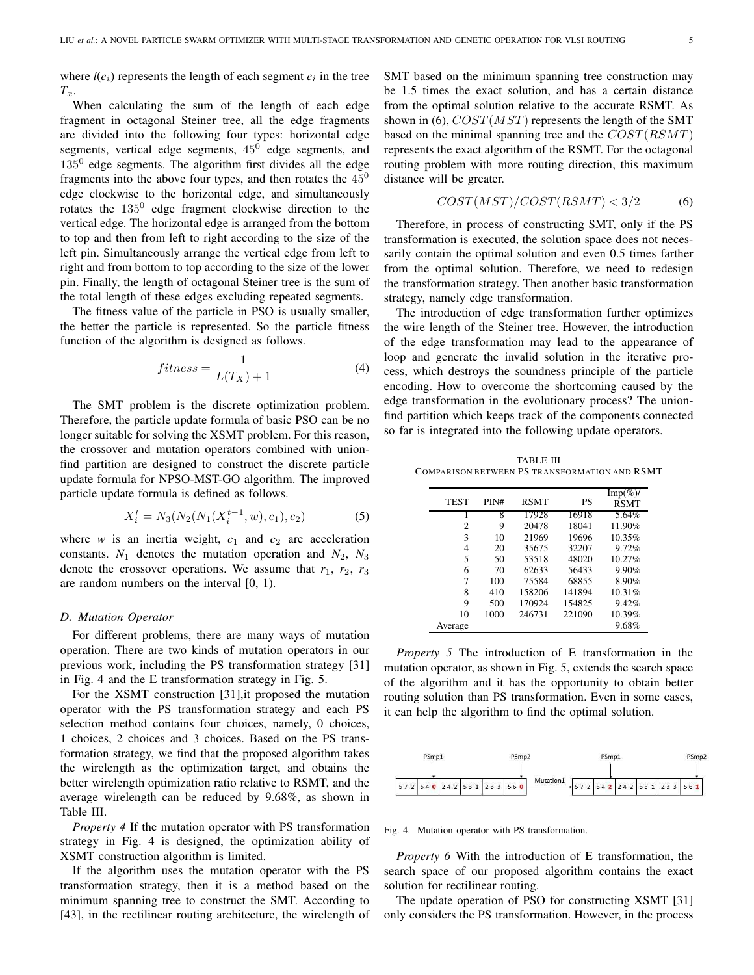where  $l(e_i)$  represents the length of each segment  $e_i$  in the tree  $T_x$ .

When calculating the sum of the length of each edge fragment in octagonal Steiner tree, all the edge fragments are divided into the following four types: horizontal edge segments, vertical edge segments,  $45^0$  edge segments, and  $135<sup>0</sup>$  edge segments. The algorithm first divides all the edge fragments into the above four types, and then rotates the  $45<sup>0</sup>$ edge clockwise to the horizontal edge, and simultaneously rotates the  $135^0$  edge fragment clockwise direction to the vertical edge. The horizontal edge is arranged from the bottom to top and then from left to right according to the size of the left pin. Simultaneously arrange the vertical edge from left to right and from bottom to top according to the size of the lower pin. Finally, the length of octagonal Steiner tree is the sum of the total length of these edges excluding repeated segments.

The fitness value of the particle in PSO is usually smaller, the better the particle is represented. So the particle fitness function of the algorithm is designed as follows.

$$
fitness = \frac{1}{L(T_X) + 1} \tag{4}
$$

The SMT problem is the discrete optimization problem. Therefore, the particle update formula of basic PSO can be no longer suitable for solving the XSMT problem. For this reason, the crossover and mutation operators combined with unionfind partition are designed to construct the discrete particle update formula for NPSO-MST-GO algorithm. The improved particle update formula is defined as follows.

$$
X_i^t = N_3(N_2(N_1(X_i^{t-1}, w), c_1), c_2)
$$
\n(5)

where  $w$  is an inertia weight,  $c_1$  and  $c_2$  are acceleration constants.  $N_1$  denotes the mutation operation and  $N_2$ ,  $N_3$ denote the crossover operations. We assume that  $r_1$ ,  $r_2$ ,  $r_3$ are random numbers on the interval [0, 1).

# *D. Mutation Operator*

For different problems, there are many ways of mutation operation. There are two kinds of mutation operators in our previous work, including the PS transformation strategy [31] in Fig. 4 and the E transformation strategy in Fig. 5.

For the XSMT construction [31],it proposed the mutation operator with the PS transformation strategy and each PS selection method contains four choices, namely, 0 choices, 1 choices, 2 choices and 3 choices. Based on the PS transformation strategy, we find that the proposed algorithm takes the wirelength as the optimization target, and obtains the better wirelength optimization ratio relative to RSMT, and the average wirelength can be reduced by 9.68%, as shown in Table III.

*Property 4* If the mutation operator with PS transformation strategy in Fig. 4 is designed, the optimization ability of XSMT construction algorithm is limited.

If the algorithm uses the mutation operator with the PS transformation strategy, then it is a method based on the minimum spanning tree to construct the SMT. According to [43], in the rectilinear routing architecture, the wirelength of SMT based on the minimum spanning tree construction may be 1.5 times the exact solution, and has a certain distance from the optimal solution relative to the accurate RSMT. As shown in (6),  $COST(MST)$  represents the length of the SMT based on the minimal spanning tree and the  $COST(RSMT)$ represents the exact algorithm of the RSMT. For the octagonal routing problem with more routing direction, this maximum distance will be greater.

$$
COST(MST)/COST(RSMT) < 3/2 \tag{6}
$$

Therefore, in process of constructing SMT, only if the PS transformation is executed, the solution space does not necessarily contain the optimal solution and even 0.5 times farther from the optimal solution. Therefore, we need to redesign the transformation strategy. Then another basic transformation strategy, namely edge transformation.

The introduction of edge transformation further optimizes the wire length of the Steiner tree. However, the introduction of the edge transformation may lead to the appearance of loop and generate the invalid solution in the iterative process, which destroys the soundness principle of the particle encoding. How to overcome the shortcoming caused by the edge transformation in the evolutionary process? The unionfind partition which keeps track of the components connected so far is integrated into the following update operators.

TABLE III COMPARISON BETWEEN PS TRANSFORMATION AND RSMT

| <b>TEST</b> | PIN# | <b>RSMT</b> | PS     | $\text{Imp}(\%)$<br><b>RSMT</b> |
|-------------|------|-------------|--------|---------------------------------|
| 1           | 8    | 17928       | 16918  | 5.64%                           |
| 2           | 9    | 20478       | 18041  | 11.90%                          |
| 3           | 10   | 21969       | 19696  | 10.35%                          |
| 4           | 20   | 35675       | 32207  | 9.72%                           |
| 5           | 50   | 53518       | 48020  | 10.27%                          |
| 6           | 70   | 62633       | 56433  | 9.90%                           |
| 7           | 100  | 75584       | 68855  | 8.90%                           |
| 8           | 410  | 158206      | 141894 | 10.31%                          |
| 9           | 500  | 170924      | 154825 | 9.42%                           |
| 10          | 1000 | 246731      | 221090 | 10.39%                          |
| Average     |      |             |        | 9.68%                           |

*Property 5* The introduction of E transformation in the mutation operator, as shown in Fig. 5, extends the search space of the algorithm and it has the opportunity to obtain better routing solution than PS transformation. Even in some cases, it can help the algorithm to find the optimal solution.



Fig. 4. Mutation operator with PS transformation.

*Property 6* With the introduction of E transformation, the search space of our proposed algorithm contains the exact solution for rectilinear routing.

The update operation of PSO for constructing XSMT [31] only considers the PS transformation. However, in the process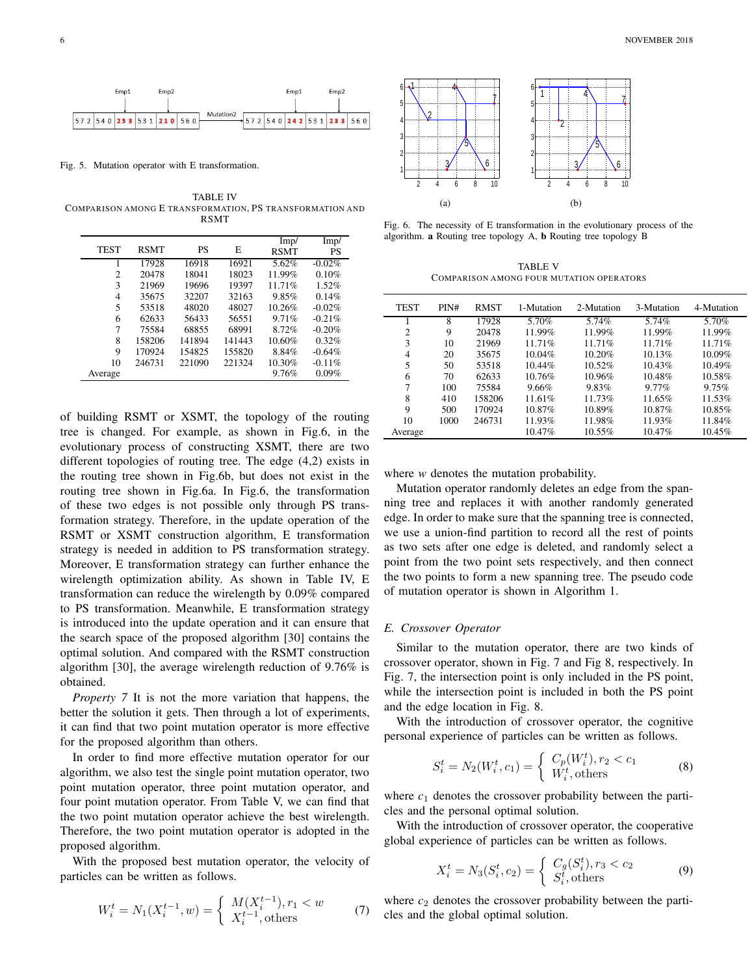

Fig. 5. Mutation operator with E transformation.

TABLE IV COMPARISON AMONG E TRANSFORMATION, PS TRANSFORMATION AND RSMT

|             |             |        |        | Imp/        | Imp/     |
|-------------|-------------|--------|--------|-------------|----------|
| <b>TEST</b> | <b>RSMT</b> | PS     | E      | <b>RSMT</b> | PS       |
| 1           | 17928       | 16918  | 16921  | 5.62%       | $-0.02%$ |
| 2           | 20478       | 18041  | 18023  | 11.99%      | 0.10%    |
| 3           | 21969       | 19696  | 19397  | 11.71%      | 1.52%    |
| 4           | 35675       | 32207  | 32163  | 9.85%       | 0.14%    |
| 5           | 53518       | 48020  | 48027  | 10.26%      | $-0.02%$ |
| 6           | 62633       | 56433  | 56551  | 9.71%       | $-0.21%$ |
| 7           | 75584       | 68855  | 68991  | 8.72%       | $-0.20%$ |
| 8           | 158206      | 141894 | 141443 | 10.60%      | 0.32%    |
| 9           | 170924      | 154825 | 155820 | 8.84%       | $-0.64%$ |
| 10          | 246731      | 221090 | 221324 | 10.30%      | $-0.11%$ |
| Average     |             |        |        | 9.76%       | 0.09%    |

of building RSMT or XSMT, the topology of the routing tree is changed. For example, as shown in Fig.6, in the evolutionary process of constructing XSMT, there are two different topologies of routing tree. The edge (4,2) exists in the routing tree shown in Fig.6b, but does not exist in the routing tree shown in Fig.6a. In Fig.6, the transformation of these two edges is not possible only through PS transformation strategy. Therefore, in the update operation of the RSMT or XSMT construction algorithm, E transformation strategy is needed in addition to PS transformation strategy. Moreover, E transformation strategy can further enhance the wirelength optimization ability. As shown in Table IV, E transformation can reduce the wirelength by 0.09% compared to PS transformation. Meanwhile, E transformation strategy is introduced into the update operation and it can ensure that the search space of the proposed algorithm [30] contains the optimal solution. And compared with the RSMT construction algorithm [30], the average wirelength reduction of 9.76% is obtained.

*Property 7* It is not the more variation that happens, the better the solution it gets. Then through a lot of experiments, it can find that two point mutation operator is more effective for the proposed algorithm than others.

In order to find more effective mutation operator for our algorithm, we also test the single point mutation operator, two point mutation operator, three point mutation operator, and four point mutation operator. From Table V, we can find that the two point mutation operator achieve the best wirelength. Therefore, the two point mutation operator is adopted in the proposed algorithm.

With the proposed best mutation operator, the velocity of particles can be written as follows.

$$
W_i^t = N_1(X_i^{t-1}, w) = \begin{cases} M(X_i^{t-1}), r_1 < w \\ X_i^{t-1}, \text{others} \end{cases} \tag{7}
$$



Fig. 6. The necessity of E transformation in the evolutionary process of the algorithm. a Routing tree topology A, b Routing tree topology B

TABLE V COMPARISON AMONG FOUR MUTATION OPERATORS

| <b>TEST</b>    | PIN# | <b>RMST</b> | 1-Mutation | 2-Mutation | 3-Mutation | 4-Mutation |
|----------------|------|-------------|------------|------------|------------|------------|
|                | 8    | 17928       | 5.70%      | 5.74%      | 5.74%      | 5.70%      |
| $\overline{c}$ | 9    | 20478       | 11.99%     | 11.99%     | 11.99%     | 11.99%     |
| 3              | 10   | 21969       | 11.71%     | 11.71%     | 11.71%     | 11.71%     |
| 4              | 20   | 35675       | 10.04%     | 10.20%     | 10.13%     | 10.09%     |
| 5              | 50   | 53518       | 10.44%     | 10.52%     | 10.43%     | 10.49%     |
| 6              | 70   | 62633       | 10.76%     | 10.96%     | 10.48%     | 10.58%     |
| 7              | 100  | 75584       | 9.66%      | 9.83%      | $9.77\%$   | 9.75%      |
| 8              | 410  | 158206      | 11.61%     | 11.73%     | 11.65%     | 11.53%     |
| 9              | 500  | 170924      | 10.87%     | 10.89%     | 10.87%     | 10.85%     |
| 10             | 1000 | 246731      | 11.93%     | 11.98%     | 11.93%     | 11.84%     |
| Average        |      |             | 10.47%     | 10.55%     | 10.47%     | 10.45%     |
|                |      |             |            |            |            |            |

where *w* denotes the mutation probability.

Mutation operator randomly deletes an edge from the spanning tree and replaces it with another randomly generated edge. In order to make sure that the spanning tree is connected, we use a union-find partition to record all the rest of points as two sets after one edge is deleted, and randomly select a point from the two point sets respectively, and then connect the two points to form a new spanning tree. The pseudo code of mutation operator is shown in Algorithm 1.

# *E. Crossover Operator*

Similar to the mutation operator, there are two kinds of crossover operator, shown in Fig. 7 and Fig 8, respectively. In Fig. 7, the intersection point is only included in the PS point, while the intersection point is included in both the PS point and the edge location in Fig. 8.

With the introduction of crossover operator, the cognitive personal experience of particles can be written as follows.

$$
S_i^t = N_2(W_i^t, c_1) = \begin{cases} C_p(W_i^t), r_2 < c_1 \\ W_i^t, \text{others} \end{cases} \tag{8}
$$

where  $c_1$  denotes the crossover probability between the particles and the personal optimal solution.

With the introduction of crossover operator, the cooperative global experience of particles can be written as follows.

$$
X_i^t = N_3(S_i^t, c_2) = \begin{cases} C_g(S_i^t), r_3 < c_2 \\ S_i^t, \text{others} \end{cases} \tag{9}
$$

where  $c_2$  denotes the crossover probability between the particles and the global optimal solution.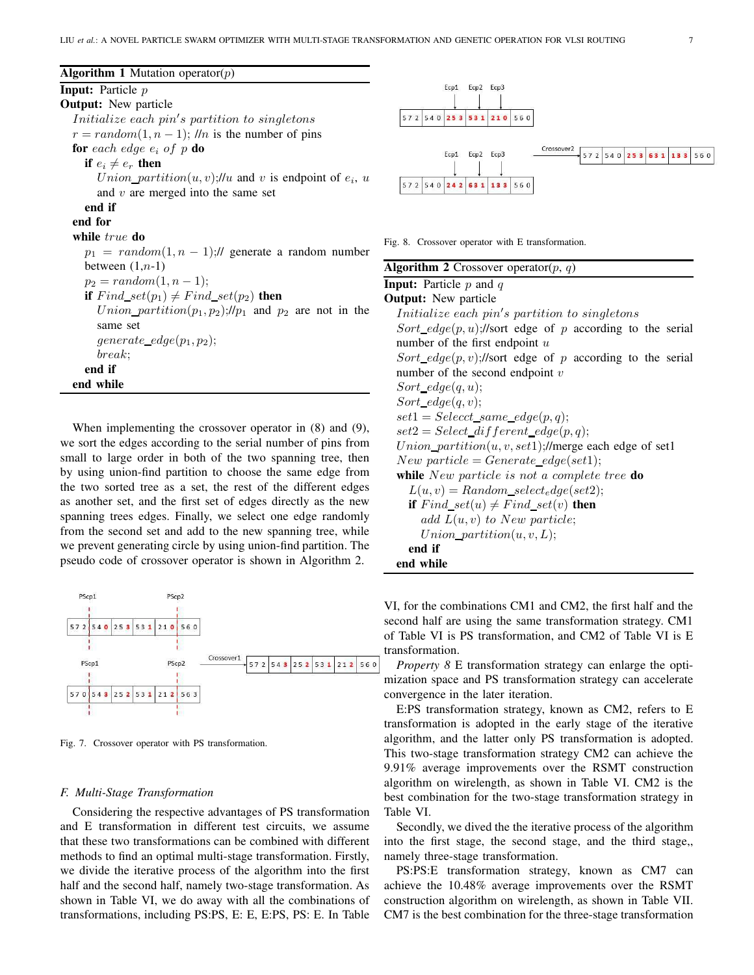| <b>Algorithm 1</b> Mutation operator( $p$ )                                               |     |
|-------------------------------------------------------------------------------------------|-----|
| <b>Input:</b> Particle $p$                                                                |     |
| <b>Output:</b> New particle                                                               |     |
| Initialize each pin's partition to singletons                                             |     |
| $r = random(1, n - 1)$ ; //n is the number of pins                                        |     |
| <b>for</b> each edge $e_i$ of p <b>do</b>                                                 |     |
| if $e_i \neq e_r$ then                                                                    |     |
| <i>Union_partition</i> $(u, v)$ ;// <i>u</i> and <i>v</i> is endpoint of $e_i$ , <i>u</i> |     |
| and $v$ are merged into the same set                                                      |     |
| end if                                                                                    |     |
| end for                                                                                   |     |
| while true do                                                                             | Fig |
| $p_1 = random(1, n - 1)$ :// generate a random number                                     |     |
| between $(1, n-1)$                                                                        | Al; |
| $p_2 = random(1, n - 1);$                                                                 | In  |
| if $Find\_set(p_1) \neq Find\_set(p_2)$ then                                              | Oι  |
| <i>Union_partition</i> $(p_1, p_2)$ ;// $p_1$ and $p_2$ are not in the                    |     |
| same set                                                                                  |     |
| $generate\_edge(p_1, p_2);$                                                               |     |
| break:                                                                                    |     |
| end if                                                                                    |     |
| end while                                                                                 |     |

When implementing the crossover operator in (8) and (9), we sort the edges according to the serial number of pins from small to large order in both of the two spanning tree, then by using union-find partition to choose the same edge from the two sorted tree as a set, the rest of the different edges as another set, and the first set of edges directly as the new spanning trees edges. Finally, we select one edge randomly from the second set and add to the new spanning tree, while we prevent generating circle by using union-find partition. The pseudo code of crossover operator is shown in Algorithm 2.



Fig. 7. Crossover operator with PS transformation.

#### *F. Multi-Stage Transformation*

Considering the respective advantages of PS transformation and E transformation in different test circuits, we assume that these two transformations can be combined with different methods to find an optimal multi-stage transformation. Firstly, we divide the iterative process of the algorithm into the first half and the second half, namely two-stage transformation. As shown in Table VI, we do away with all the combinations of transformations, including PS:PS, E: E, E:PS, PS: E. In Table



8. Crossover operator with E transformation.

| <b>Algorithm 2</b> Crossover operator( $p$ , $q$ )               |
|------------------------------------------------------------------|
| <b>Input:</b> Particle $p$ and $q$                               |
| <b>Output:</b> New particle                                      |
| Initialize each pin's partition to singletons                    |
| Sort_edge(p, u);//sort edge of p according to the serial         |
| number of the first endpoint $u$                                 |
| Sort_edge(p, v);//sort edge of p according to the serial         |
| number of the second endpoint $v$                                |
| $Sort\_edge(q, u);$                                              |
| $Sort\_edge(q, v);$                                              |
| $set1 = Select\_same\_edge(p,q);$                                |
| $set2 = Select\_different\_edge(p,q);$                           |
| <i>Union_partition</i> $(u, v, set1)$ ;//merge each edge of set1 |
| New particle = $Generate\_edge(set1);$                           |
| while New particle is not a complete tree do                     |
| $L(u, v) = Random\_select_{e}dge(set2);$                         |
| if $Find\_set(u) \neq Find\_set(v)$ then                         |
| add $L(u, v)$ to New particle;                                   |
| $Union\_partition(u, v, L);$                                     |
| end if                                                           |
| end while                                                        |

VI, for the combinations CM1 and CM2, the first half and the second half are using the same transformation strategy. CM1 of Table VI is PS transformation, and CM2 of Table VI is E transformation.

*Property 8* E transformation strategy can enlarge the optimization space and PS transformation strategy can accelerate convergence in the later iteration.

E:PS transformation strategy, known as CM2, refers to E transformation is adopted in the early stage of the iterative algorithm, and the latter only PS transformation is adopted. This two-stage transformation strategy CM2 can achieve the 9.91% average improvements over the RSMT construction algorithm on wirelength, as shown in Table VI. CM2 is the best combination for the two-stage transformation strategy in Table VI.

Secondly, we dived the the iterative process of the algorithm into the first stage, the second stage, and the third stage,, namely three-stage transformation.

PS:PS:E transformation strategy, known as CM7 can achieve the 10.48% average improvements over the RSMT construction algorithm on wirelength, as shown in Table VII. CM7 is the best combination for the three-stage transformation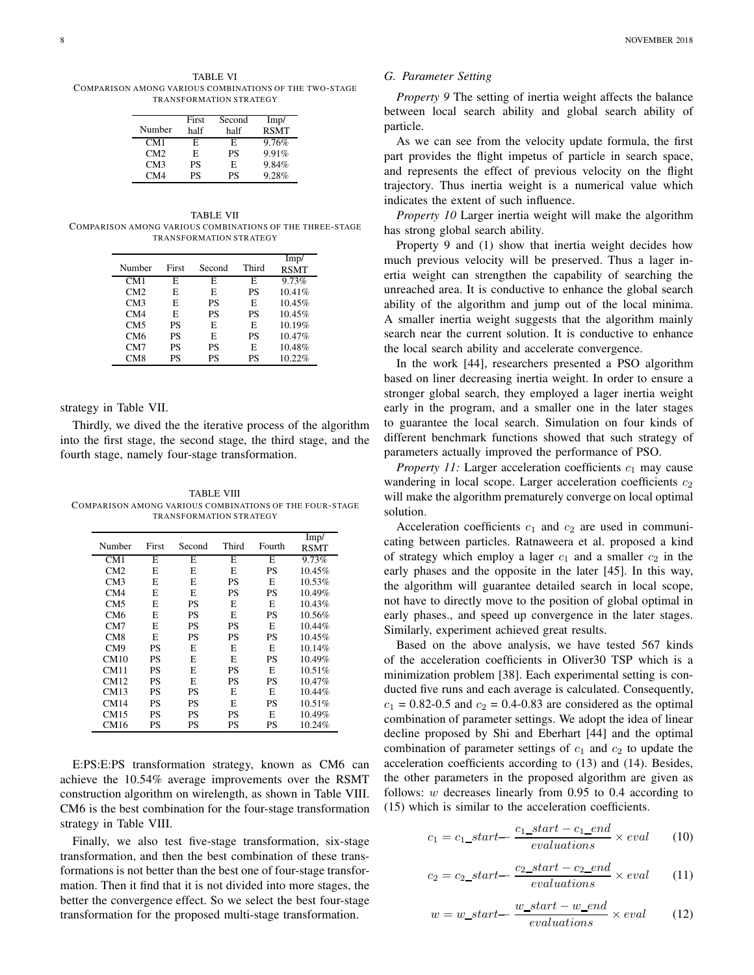TABLE VI COMPARISON AMONG VARIOUS COMBINATIONS OF THE TWO-STAGE TRANSFORMATION STRATEGY

|        | First | Second | Imp/        |
|--------|-------|--------|-------------|
| Number | half  | half   | <b>RSMT</b> |
| CM1    | F.    | E      | 9.76%       |
| CM2    | E     | PS     | 9.91%       |
| CM3    | PS    | E      | 9.84%       |
| CM4    | PS    | PS     | 9.28%       |

TABLE VII COMPARISON AMONG VARIOUS COMBINATIONS OF THE THREE-STAGE TRANSFORMATION STRATEGY

| Number          | First     | Second | Third | Imp/<br><b>RSMT</b> |
|-----------------|-----------|--------|-------|---------------------|
| CM1             | F.        | F.     | E     | 9.73%               |
| CM2             | E         | E      | PS    | 10.41%              |
| CM3             | E         | PS     | E     | 10.45%              |
| CM4             | E         | PS     | PS    | 10.45%              |
| CM5             | PS        | E      | E     | 10.19%              |
| CM <sub>6</sub> | PS        | E      | PS    | 10.47%              |
| CM7             | <b>PS</b> | PS     | F.    | 10.48%              |
| CM <sub>8</sub> | PS        | PS     | PS    | 10.22%              |

strategy in Table VII.

Thirdly, we dived the the iterative process of the algorithm into the first stage, the second stage, the third stage, and the fourth stage, namely four-stage transformation.

TABLE VIII COMPARISON AMONG VARIOUS COMBINATIONS OF THE FOUR-STAGE TRANSFORMATION STRATEGY

| Number          | <b>First</b> | Second | Third | Fourth | Imp/<br>RSMT |
|-----------------|--------------|--------|-------|--------|--------------|
| CM1             | E            | E      | E     | E      | 9.73%        |
| CM2             | E            | E      | E     | PS     | 10.45%       |
| CM3             | E            | E      | PS    | E      | 10.53%       |
| CM4             | E            | E      | PS    | PS     | 10.49%       |
| CM5             | E            | PS     | E     | E      | 10.43%       |
| CM6             | E            | PS     | E     | PS     | 10.56%       |
| CM7             | E            | PS     | PS    | E      | 10.44%       |
| CM <sub>8</sub> | E            | PS     | PS    | PS     | 10.45%       |
| CM <sub>9</sub> | PS           | E      | E     | E      | 10.14%       |
| CM10            | PS           | E      | E     | PS     | 10.49%       |
| CM11            | PS           | E      | PS    | E      | 10.51%       |
| CM12            | PS           | E      | PS    | PS     | 10.47%       |
| CM13            | PS           | PS     | E     | E      | 10.44%       |
| CM14            | PS           | PS     | E     | PS     | 10.51%       |
| CM15            | PS           | PS     | PS    | F.     | 10.49%       |
| CM16            | PS           | PS     | PS    | PS     | 10.24%       |

E:PS:E:PS transformation strategy, known as CM6 can achieve the 10.54% average improvements over the RSMT construction algorithm on wirelength, as shown in Table VIII. CM6 is the best combination for the four-stage transformation strategy in Table VIII.

Finally, we also test five-stage transformation, six-stage transformation, and then the best combination of these transformations is not better than the best one of four-stage transformation. Then it find that it is not divided into more stages, the better the convergence effect. So we select the best four-stage transformation for the proposed multi-stage transformation.

#### *G. Parameter Setting*

*Property 9* The setting of inertia weight affects the balance between local search ability and global search ability of particle.

As we can see from the velocity update formula, the first part provides the flight impetus of particle in search space, and represents the effect of previous velocity on the flight trajectory. Thus inertia weight is a numerical value which indicates the extent of such influence.

*Property 10* Larger inertia weight will make the algorithm has strong global search ability.

Property 9 and (1) show that inertia weight decides how much previous velocity will be preserved. Thus a lager inertia weight can strengthen the capability of searching the unreached area. It is conductive to enhance the global search ability of the algorithm and jump out of the local minima. A smaller inertia weight suggests that the algorithm mainly search near the current solution. It is conductive to enhance the local search ability and accelerate convergence.

In the work [44], researchers presented a PSO algorithm based on liner decreasing inertia weight. In order to ensure a stronger global search, they employed a lager inertia weight early in the program, and a smaller one in the later stages to guarantee the local search. Simulation on four kinds of different benchmark functions showed that such strategy of parameters actually improved the performance of PSO.

*Property 11:* Larger acceleration coefficients  $c_1$  may cause wandering in local scope. Larger acceleration coefficients  $c_2$ will make the algorithm prematurely converge on local optimal solution.

Acceleration coefficients  $c_1$  and  $c_2$  are used in communicating between particles. Ratnaweera et al. proposed a kind of strategy which employ a lager  $c_1$  and a smaller  $c_2$  in the early phases and the opposite in the later [45]. In this way, the algorithm will guarantee detailed search in local scope, not have to directly move to the position of global optimal in early phases., and speed up convergence in the later stages. Similarly, experiment achieved great results.

Based on the above analysis, we have tested 567 kinds of the acceleration coefficients in Oliver30 TSP which is a minimization problem [38]. Each experimental setting is conducted five runs and each average is calculated. Consequently,  $c_1$  = 0.82-0.5 and  $c_2$  = 0.4-0.83 are considered as the optimal combination of parameter settings. We adopt the idea of linear decline proposed by Shi and Eberhart [44] and the optimal combination of parameter settings of  $c_1$  and  $c_2$  to update the acceleration coefficients according to (13) and (14). Besides, the other parameters in the proposed algorithm are given as follows:  $w$  decreases linearly from 0.95 to 0.4 according to (15) which is similar to the acceleration coefficients.

$$
c_1 = c_1\_start - \frac{c_1\_start - c_1\_end}{evaluations} \times eval \qquad (10)
$$

$$
c_2 = c_2\_start - \frac{c_2\_start - c_2\_end}{evaluations} \times eval \qquad (11)
$$

$$
w = w\_start - \frac{w\_start - w\_end}{evaluations} \times eval \tag{12}
$$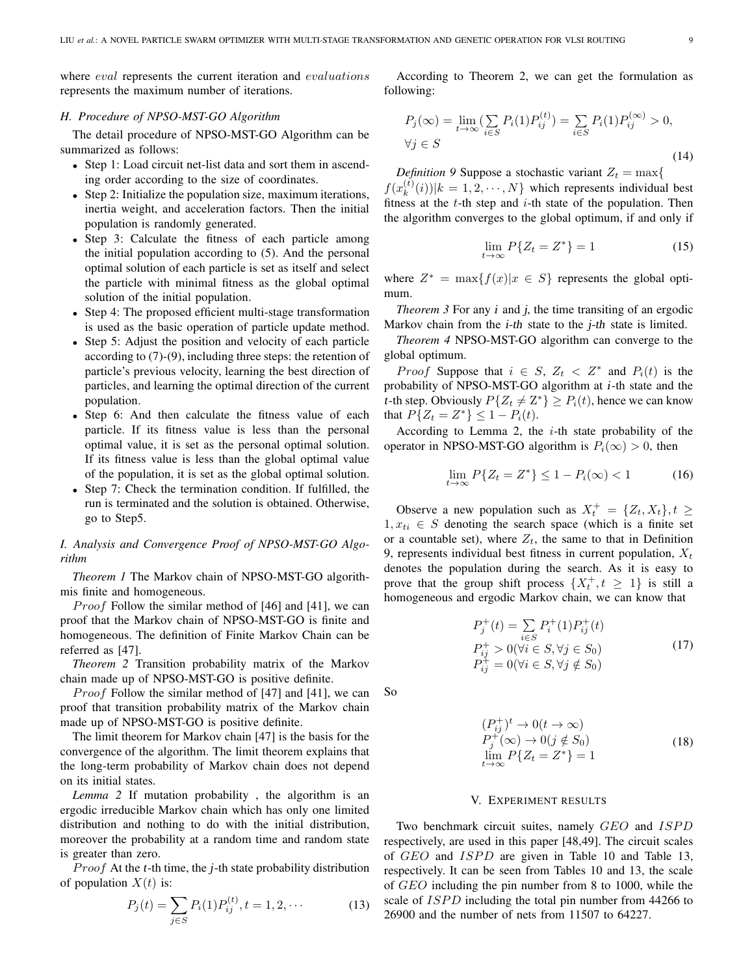where *eval* represents the current iteration and *evaluations* represents the maximum number of iterations.

# *H. Procedure of NPSO-MST-GO Algorithm*

The detail procedure of NPSO-MST-GO Algorithm can be summarized as follows:

- Step 1: Load circuit net-list data and sort them in ascending order according to the size of coordinates.
- Step 2: Initialize the population size, maximum iterations, inertia weight, and acceleration factors. Then the initial population is randomly generated.
- Step 3: Calculate the fitness of each particle among the initial population according to (5). And the personal optimal solution of each particle is set as itself and select the particle with minimal fitness as the global optimal solution of the initial population.
- Step 4: The proposed efficient multi-stage transformation is used as the basic operation of particle update method.
- Step 5: Adjust the position and velocity of each particle according to (7)-(9), including three steps: the retention of particle's previous velocity, learning the best direction of particles, and learning the optimal direction of the current population.
- Step 6: And then calculate the fitness value of each particle. If its fitness value is less than the personal optimal value, it is set as the personal optimal solution. If its fitness value is less than the global optimal value of the population, it is set as the global optimal solution.
- Step 7: Check the termination condition. If fulfilled, the run is terminated and the solution is obtained. Otherwise, go to Step5.

# *I. Analysis and Convergence Proof of NPSO-MST-GO Algorithm*

*Theorem 1* The Markov chain of NPSO-MST-GO algorithmis finite and homogeneous.

*Proof* Follow the similar method of  $[46]$  and  $[41]$ , we can proof that the Markov chain of NPSO-MST-GO is finite and homogeneous. The definition of Finite Markov Chain can be referred as [47].

*Theorem 2* Transition probability matrix of the Markov chain made up of NPSO-MST-GO is positive definite.

*Proof* Follow the similar method of [47] and [41], we can proof that transition probability matrix of the Markov chain made up of NPSO-MST-GO is positive definite.

The limit theorem for Markov chain [47] is the basis for the convergence of the algorithm. The limit theorem explains that the long-term probability of Markov chain does not depend on its initial states.

*Lemma 2* If mutation probability , the algorithm is an ergodic irreducible Markov chain which has only one limited distribution and nothing to do with the initial distribution, moreover the probability at a random time and random state is greater than zero.

*Proof* At the t-th time, the  $j$ -th state probability distribution of population  $X(t)$  is:

$$
P_j(t) = \sum_{j \in S} P_i(1) P_{ij}^{(t)}, t = 1, 2, \cdots
$$
 (13)

According to Theorem 2, we can get the formulation as following:

$$
P_j(\infty) = \lim_{t \to \infty} \left( \sum_{i \in S} P_i(1) P_{ij}^{(t)} \right) = \sum_{i \in S} P_i(1) P_{ij}^{(\infty)} > 0,
$$
  
\n
$$
\forall j \in S
$$
\n(14)

*Definition 9* Suppose a stochastic variant  $Z_t = \max\{$ 

 $f(x_k^{(t)}(i))|k=1,2,\cdots,N\}$  which represents individual best fitness at the  $t$ -th step and  $i$ -th state of the population. Then the algorithm converges to the global optimum, if and only if

$$
\lim_{t \to \infty} P\{Z_t = Z^*\} = 1\tag{15}
$$

where  $Z^* = \max\{f(x)|x \in S\}$  represents the global optimum.

*Theorem 3* For any *i* and *j*, the time transiting of an ergodic Markov chain from the *i-th* state to the *j-th* state is limited.

*Theorem 4* NPSO-MST-GO algorithm can converge to the global optimum.

*Proof* Suppose that  $i \in S$ ,  $Z_t < Z^*$  and  $P_i(t)$  is the probability of NPSO-MST-GO algorithm at <sup>i</sup>-th state and the t-th step. Obviously  $P\{Z_t \neq Z^*\} \geq P_i(t)$ , hence we can know that  $P\{Z_t = Z^*\} \leq 1 - P_i(t)$ .

According to Lemma 2, the  $i$ -th state probability of the operator in NPSO-MST-GO algorithm is  $P_i(\infty) > 0$ , then

$$
\lim_{t \to \infty} P\{Z_t = Z^*\} \le 1 - P_i(\infty) < 1 \tag{16}
$$

Observe a new population such as  $X_t^+ = \{Z_t, X_t\}, t \geq 0$  $1, x_{ti} \in S$  denoting the search space (which is a finite set or a countable set), where  $Z_t$ , the same to that in Definition 9, represents individual best fitness in current population,  $X_t$ denotes the population during the search. As it is easy to prove that the group shift process  $\{X_t^+, t \geq 1\}$  is still a homogeneous and ergodic Markov chain, we can know that

$$
P_j^+(t) = \sum_{i \in S} P_i^+(1) P_{ij}^+(t)
$$
  
\n
$$
P_{ij}^+ > 0 \quad (\forall i \in S, \forall j \in S_0)
$$
  
\n
$$
P_{ij}^+ = 0 \quad (\forall i \in S, \forall j \notin S_0)
$$
\n(17)

So

$$
(P_{ij}^+)^t \to 0(t \to \infty)
$$
  
\n
$$
P_j^+(\infty) \to 0(j \notin S_0)
$$
  
\n
$$
\lim_{t \to \infty} P\{Z_t = Z^*\} = 1
$$
\n(18)

## V. EXPERIMENT RESULTS

Two benchmark circuit suites, namely GEO and ISPD respectively, are used in this paper [48,49]. The circuit scales of GEO and ISPD are given in Table 10 and Table 13, respectively. It can be seen from Tables 10 and 13, the scale of GEO including the pin number from 8 to 1000, while the scale of *ISPD* including the total pin number from 44266 to 26900 and the number of nets from 11507 to 64227.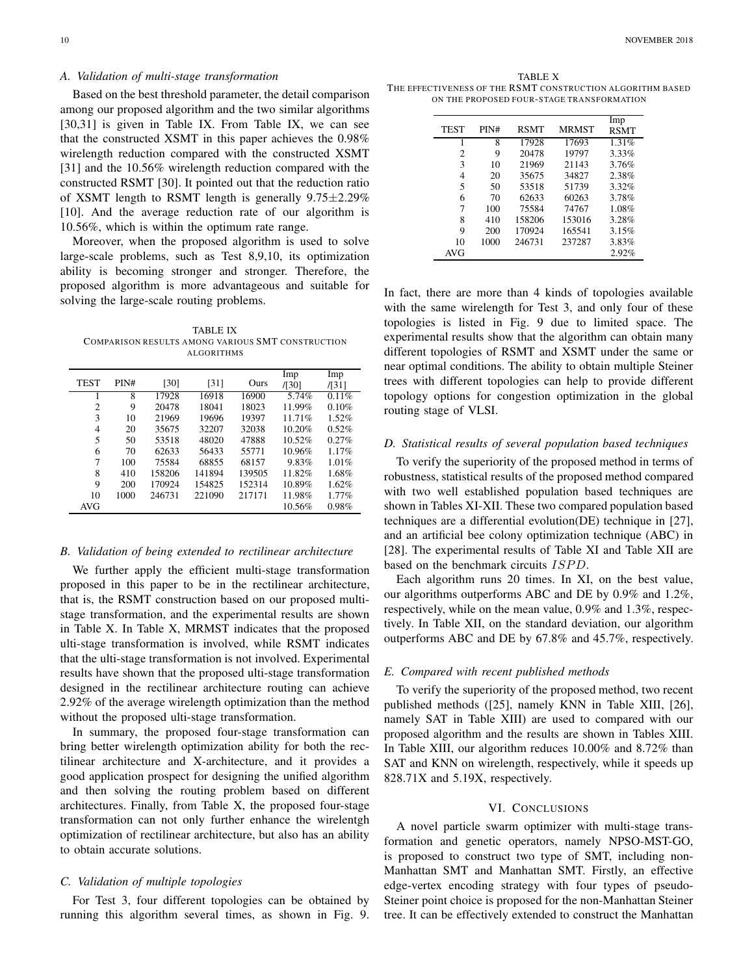## *A. Validation of multi-stage transformation*

Based on the best threshold parameter, the detail comparison among our proposed algorithm and the two similar algorithms [30,31] is given in Table IX. From Table IX, we can see that the constructed XSMT in this paper achieves the 0.98% wirelength reduction compared with the constructed XSMT [31] and the 10.56% wirelength reduction compared with the constructed RSMT [30]. It pointed out that the reduction ratio of XSMT length to RSMT length is generally  $9.75 \pm 2.29\%$ [10]. And the average reduction rate of our algorithm is 10.56%, which is within the optimum rate range.

Moreover, when the proposed algorithm is used to solve large-scale problems, such as Test 8,9,10, its optimization ability is becoming stronger and stronger. Therefore, the proposed algorithm is more advantageous and suitable for solving the large-scale routing problems.

TABLE IX COMPARISON RESULTS AMONG VARIOUS SMT CONSTRUCTION ALGORITHMS

|                |      |        |        |        | Imp    | Imp      |
|----------------|------|--------|--------|--------|--------|----------|
| <b>TEST</b>    | PIN# | [30]   | [31]   | Ours   | /1301  | /[31]    |
|                | 8    | 17928  | 16918  | 16900  | 5.74%  | 0.11%    |
| $\overline{c}$ | 9    | 20478  | 18041  | 18023  | 11.99% | 0.10%    |
| 3              | 10   | 21969  | 19696  | 19397  | 11.71% | 1.52%    |
| 4              | 20   | 35675  | 32207  | 32038  | 10.20% | 0.52%    |
| 5              | 50   | 53518  | 48020  | 47888  | 10.52% | 0.27%    |
| 6              | 70   | 62633  | 56433  | 55771  | 10.96% | 1.17%    |
| 7              | 100  | 75584  | 68855  | 68157  | 9.83%  | 1.01%    |
| 8              | 410  | 158206 | 141894 | 139505 | 11.82% | 1.68%    |
| 9              | 200  | 170924 | 154825 | 152314 | 10.89% | 1.62%    |
| 10             | 1000 | 246731 | 221090 | 217171 | 11.98% | $1.77\%$ |
| AVG            |      |        |        |        | 10.56% | 0.98%    |

## *B. Validation of being extended to rectilinear architecture*

We further apply the efficient multi-stage transformation proposed in this paper to be in the rectilinear architecture, that is, the RSMT construction based on our proposed multistage transformation, and the experimental results are shown in Table X. In Table X, MRMST indicates that the proposed ulti-stage transformation is involved, while RSMT indicates that the ulti-stage transformation is not involved. Experimental results have shown that the proposed ulti-stage transformation designed in the rectilinear architecture routing can achieve 2.92% of the average wirelength optimization than the method without the proposed ulti-stage transformation.

In summary, the proposed four-stage transformation can bring better wirelength optimization ability for both the rectilinear architecture and X-architecture, and it provides a good application prospect for designing the unified algorithm and then solving the routing problem based on different architectures. Finally, from Table X, the proposed four-stage transformation can not only further enhance the wirelentgh optimization of rectilinear architecture, but also has an ability to obtain accurate solutions.

# *C. Validation of multiple topologies*

For Test 3, four different topologies can be obtained by running this algorithm several times, as shown in Fig. 9.

TABLE X THE EFFECTIVENESS OF THE RSMT CONSTRUCTION ALGORITHM BASED ON THE PROPOSED FOUR-STAGE TRANSFORMATION

| <b>TEST</b> | PIN# | <b>RSMT</b> | <b>MRMST</b> | Imp<br><b>RSMT</b> |
|-------------|------|-------------|--------------|--------------------|
| 1           | 8    | 17928       | 17693        | 1.31%              |
| 2           | 9    | 20478       | 19797        | 3.33%              |
| 3           | 10   | 21969       | 21143        | 3.76%              |
| 4           | 20   | 35675       | 34827        | 2.38%              |
| 5           | 50   | 53518       | 51739        | 3.32%              |
| 6           | 70   | 62633       | 60263        | 3.78%              |
| 7           | 100  | 75584       | 74767        | 1.08%              |
| 8           | 410  | 158206      | 153016       | 3.28%              |
| 9           | 200  | 170924      | 165541       | 3.15%              |
| 10          | 1000 | 246731      | 237287       | 3.83%              |
| AVG         |      |             |              | 2.92%              |

In fact, there are more than 4 kinds of topologies available with the same wirelength for Test 3, and only four of these topologies is listed in Fig. 9 due to limited space. The experimental results show that the algorithm can obtain many different topologies of RSMT and XSMT under the same or near optimal conditions. The ability to obtain multiple Steiner trees with different topologies can help to provide different topology options for congestion optimization in the global routing stage of VLSI.

#### *D. Statistical results of several population based techniques*

To verify the superiority of the proposed method in terms of robustness, statistical results of the proposed method compared with two well established population based techniques are shown in Tables XI-XII. These two compared population based techniques are a differential evolution(DE) technique in [27], and an artificial bee colony optimization technique (ABC) in [28]. The experimental results of Table XI and Table XII are based on the benchmark circuits *ISPD*.

Each algorithm runs 20 times. In XI, on the best value, our algorithms outperforms ABC and DE by 0.9% and 1.2%, respectively, while on the mean value, 0.9% and 1.3%, respectively. In Table XII, on the standard deviation, our algorithm outperforms ABC and DE by 67.8% and 45.7%, respectively.

### *E. Compared with recent published methods*

To verify the superiority of the proposed method, two recent published methods ([25], namely KNN in Table XIII, [26], namely SAT in Table XIII) are used to compared with our proposed algorithm and the results are shown in Tables XIII. In Table XIII, our algorithm reduces 10.00% and 8.72% than SAT and KNN on wirelength, respectively, while it speeds up 828.71X and 5.19X, respectively.

#### VI. CONCLUSIONS

A novel particle swarm optimizer with multi-stage transformation and genetic operators, namely NPSO-MST-GO, is proposed to construct two type of SMT, including non-Manhattan SMT and Manhattan SMT. Firstly, an effective edge-vertex encoding strategy with four types of pseudo-Steiner point choice is proposed for the non-Manhattan Steiner tree. It can be effectively extended to construct the Manhattan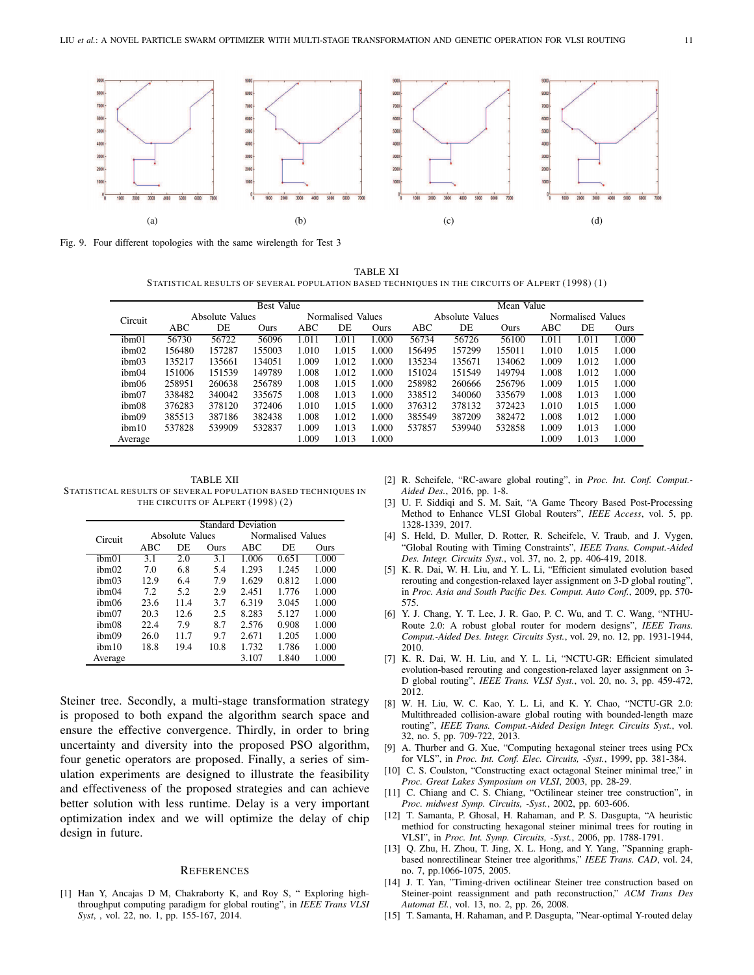

Fig. 9. Four different topologies with the same wirelength for Test 3

TABLE XI STATISTICAL RESULTS OF SEVERAL POPULATION BASED TECHNIQUES IN THE CIRCUITS OF ALPERT (1998) (1)

|                   | Best Value |                 |        |       |                   | Mean Value |        |                 |        |       |                   |       |
|-------------------|------------|-----------------|--------|-------|-------------------|------------|--------|-----------------|--------|-------|-------------------|-------|
| Circuit           |            | Absolute Values |        |       | Normalised Values |            |        | Absolute Values |        |       | Normalised Values |       |
|                   | ABC        | DE              | Ours   | ABC   | DE                | Ours       | ABC    | DE              | Ours   | ABC   | DE                | Ours  |
| ibm <sub>01</sub> | 56730      | 56722           | 56096  | 1.011 | .011              | .000       | 56734  | 56726           | 56100  | 1.011 | 1.011             | 1.000 |
| ibm <sub>02</sub> | 156480     | 157287          | 155003 | 1.010 | 1.015             | 1.000      | 156495 | 157299          | 155011 | 1.010 | 1.015             | 1.000 |
| ibm <sub>03</sub> | 135217     | 135661          | 134051 | 1.009 | 1.012             | 1.000      | 135234 | 135671          | 134062 | 1.009 | 1.012             | 1.000 |
| ibm04             | 151006     | 151539          | 149789 | 1.008 | 1.012             | 1.000      | 151024 | 151549          | 149794 | 1.008 | 1.012             | 1.000 |
| ibm06             | 258951     | 260638          | 256789 | 1.008 | 1.015             | 1.000      | 258982 | 260666          | 256796 | 1.009 | 1.015             | 1.000 |
| ibm07             | 338482     | 340042          | 335675 | 1.008 | 1.013             | 1.000      | 338512 | 340060          | 335679 | 1.008 | 1.013             | 1.000 |
| ibm08             | 376283     | 378120          | 372406 | 1.010 | 1.015             | 1.000      | 376312 | 378132          | 372423 | 1.010 | 1.015             | 1.000 |
| ibm09             | 385513     | 387186          | 382438 | 1.008 | 1.012             | 1.000      | 385549 | 387209          | 382472 | 1.008 | 1.012             | 1.000 |
| ibm10             | 537828     | 539909          | 532837 | 1.009 | 1.013             | 1.000      | 537857 | 539940          | 532858 | 1.009 | 1.013             | 1.000 |
| Average           |            |                 |        | 1.009 | 1.013             | 1.000      |        |                 |        | 1.009 | 1.013             | 1.000 |

TABLE XII STATISTICAL RESULTS OF SEVERAL POPULATION BASED TECHNIQUES IN THE CIRCUITS OF ALPERT (1998) (2)

|                   | <b>Standard Deviation</b> |                 |      |                   |       |       |  |  |  |  |
|-------------------|---------------------------|-----------------|------|-------------------|-------|-------|--|--|--|--|
| Circuit           |                           | Absolute Values |      | Normalised Values |       |       |  |  |  |  |
|                   | ABC                       | DE              | Ours | ABC               | DE    | Ours  |  |  |  |  |
| ibm01             | 3.1                       | 2.0             | 3.1  | 1.006             | 0.651 | 1.000 |  |  |  |  |
| ibm <sub>02</sub> | 7.0                       | 6.8             | 5.4  | 1.293             | 1.245 | 1.000 |  |  |  |  |
| ibm <sub>03</sub> | 12.9                      | 6.4             | 7.9  | 1.629             | 0.812 | 1.000 |  |  |  |  |
| ibm <sub>04</sub> | 7.2                       | 5.2             | 2.9  | 2.451             | 1.776 | 1.000 |  |  |  |  |
| ibm06             | 23.6                      | 11.4            | 3.7  | 6.319             | 3.045 | 1.000 |  |  |  |  |
| ibm07             | 20.3                      | 12.6            | 2.5  | 8.283             | 5.127 | 1.000 |  |  |  |  |
| ibm08             | 22.4                      | 7.9             | 8.7  | 2.576             | 0.908 | 1.000 |  |  |  |  |
| ibm09             | 26.0                      | 11.7            | 9.7  | 2.671             | 1.205 | 1.000 |  |  |  |  |
| ibm10             | 18.8                      | 19.4            | 10.8 | 1.732             | 1.786 | 1.000 |  |  |  |  |
| Average           |                           |                 |      | 3.107             | 1.840 | 1.000 |  |  |  |  |

Steiner tree. Secondly, a multi-stage transformation strategy is proposed to both expand the algorithm search space and ensure the effective convergence. Thirdly, in order to bring uncertainty and diversity into the proposed PSO algorithm, four genetic operators are proposed. Finally, a series of simulation experiments are designed to illustrate the feasibility and effectiveness of the proposed strategies and can achieve better solution with less runtime. Delay is a very important optimization index and we will optimize the delay of chip design in future.

### **REFERENCES**

[1] Han Y, Ancajas D M, Chakraborty K, and Roy S, " Exploring highthroughput computing paradigm for global routing", in *IEEE Trans VLSI Syst*, , vol. 22, no. 1, pp. 155-167, 2014.

- [2] R. Scheifele, "RC-aware global routing", in *Proc. Int. Conf. Comput.- Aided Des.*, 2016, pp. 1-8.
- [3] U. F. Siddiqi and S. M. Sait, "A Game Theory Based Post-Processing Method to Enhance VLSI Global Routers", *IEEE Access*, vol. 5, pp. 1328-1339, 2017.
- [4] S. Held, D. Muller, D. Rotter, R. Scheifele, V. Traub, and J. Vygen, "Global Routing with Timing Constraints", *IEEE Trans. Comput.-Aided Des. Integr. Circuits Syst.*, vol. 37, no. 2, pp. 406-419, 2018.
- [5] K. R. Dai, W. H. Liu, and Y. L. Li, "Efficient simulated evolution based rerouting and congestion-relaxed layer assignment on 3-D global routing", in *Proc. Asia and South Pacific Des. Comput. Auto Conf.*, 2009, pp. 570- 575.
- [6] Y. J. Chang, Y. T. Lee, J. R. Gao, P. C. Wu, and T. C. Wang, "NTHU-Route 2.0: A robust global router for modern designs", *IEEE Trans. Comput.-Aided Des. Integr. Circuits Syst.*, vol. 29, no. 12, pp. 1931-1944, 2010.
- [7] K. R. Dai, W. H. Liu, and Y. L. Li, "NCTU-GR: Efficient simulated evolution-based rerouting and congestion-relaxed layer assignment on 3- D global routing", *IEEE Trans. VLSI Syst.*, vol. 20, no. 3, pp. 459-472, 2012.
- [8] W. H. Liu, W. C. Kao, Y. L. Li, and K. Y. Chao, "NCTU-GR 2.0: Multithreaded collision-aware global routing with bounded-length maze routing", *IEEE Trans. Comput.-Aided Design Integr. Circuits Syst.*, vol. 32, no. 5, pp. 709-722, 2013.
- [9] A. Thurber and G. Xue, "Computing hexagonal steiner trees using PCx for VLS", in *Proc. Int. Conf. Elec. Circuits, -Syst.*, 1999, pp. 381-384.
- [10] C. S. Coulston, "Constructing exact octagonal Steiner minimal tree," in *Proc. Great Lakes Symposium on VLSI*, 2003, pp. 28-29.
- [11] C. Chiang and C. S. Chiang, "Octilinear steiner tree construction", in *Proc. midwest Symp. Circuits, -Syst.*, 2002, pp. 603-606.
- [12] T. Samanta, P. Ghosal, H. Rahaman, and P. S. Dasgupta, "A heuristic methiod for constructing hexagonal steiner minimal trees for routing in VLSI", in *Proc. Int. Symp. Circuits, -Syst.*, 2006, pp. 1788-1791.
- [13] Q. Zhu, H. Zhou, T. Jing, X. L. Hong, and Y. Yang, "Spanning graphbased nonrectilinear Steiner tree algorithms," *IEEE Trans. CAD*, vol. 24, no. 7, pp.1066-1075, 2005.
- [14] J. T. Yan, "Timing-driven octilinear Steiner tree construction based on Steiner-point reassignment and path reconstruction," *ACM Trans Des Automat El.*, vol. 13, no. 2, pp. 26, 2008.
- [15] T. Samanta, H. Rahaman, and P. Dasgupta, "Near-optimal Y-routed delay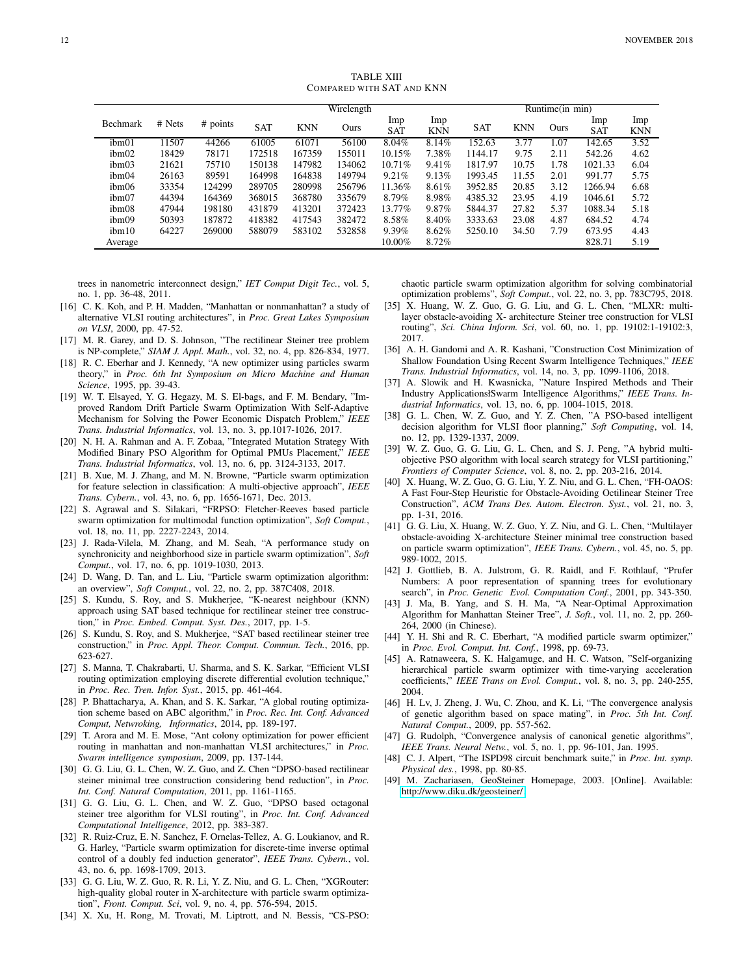TABLE XIII COMPARED WITH SAT AND KNN

|                   |        |          | Wirelength |            |        |                   | Runtime(in min)   |            |            |      |                   |                   |
|-------------------|--------|----------|------------|------------|--------|-------------------|-------------------|------------|------------|------|-------------------|-------------------|
| <b>Bechmark</b>   | # Nets | # points | <b>SAT</b> | <b>KNN</b> | Ours   | Imp<br><b>SAT</b> | Imp<br><b>KNN</b> | <b>SAT</b> | <b>KNN</b> | Ours | Imp<br><b>SAT</b> | Imp<br><b>KNN</b> |
| ibm01             | 1507   | 44266    | 61005      | 61071      | 56100  | 8.04%             | 8.14%             | 152.63     | 3.77       | .07  | 142.65            | 3.52              |
| ibm <sub>02</sub> | 18429  | 78171    | 172518     | 167359     | 155011 | 10.15%            | 7.38%             | 1144.17    | 9.75       | 2.11 | 542.26            | 4.62              |
| ibm <sub>03</sub> | 21621  | 75710    | 150138     | 147982     | 134062 | 10.71%            | 9.41%             | 1817.97    | 10.75      | 1.78 | 1021.33           | 6.04              |
| ibm04             | 26163  | 89591    | 164998     | 164838     | 149794 | 9.21%             | 9.13%             | 1993.45    | 11.55      | 2.01 | 991.77            | 5.75              |
| ibm06             | 33354  | 124299   | 289705     | 280998     | 256796 | 11.36%            | 8.61%             | 3952.85    | 20.85      | 3.12 | 1266.94           | 6.68              |
| ibm07             | 44394  | 164369   | 368015     | 368780     | 335679 | 8.79%             | 8.98%             | 4385.32    | 23.95      | 4.19 | 1046.61           | 5.72              |
| ibm08             | 47944  | 198180   | 431879     | 413201     | 372423 | 13.77%            | 9.87%             | 5844.37    | 27.82      | 5.37 | 1088.34           | 5.18              |
| ibm09             | 50393  | 187872   | 418382     | 417543     | 382472 | 8.58%             | 8.40%             | 3333.63    | 23.08      | 4.87 | 684.52            | 4.74              |
| ibm10             | 64227  | 269000   | 588079     | 583102     | 532858 | $9.39\%$          | 8.62%             | 5250.10    | 34.50      | 7.79 | 673.95            | 4.43              |
| Average           |        |          |            |            |        | 10.00%            | 8.72%             |            |            |      | 828.71            | 5.19              |

trees in nanometric interconnect design," *IET Comput Digit Tec.*, vol. 5, no. 1, pp. 36-48, 2011.

- [16] C. K. Koh, and P. H. Madden, "Manhattan or nonmanhattan? a study of alternative VLSI routing architectures", in *Proc. Great Lakes Symposium on VLSI*, 2000, pp. 47-52.
- [17] M. R. Garey, and D. S. Johnson, "The rectilinear Steiner tree problem is NP-complete," *SIAM J. Appl. Math.*, vol. 32, no. 4, pp. 826-834, 1977.
- [18] R. C. Eberhar and J. Kennedy, "A new optimizer using particles swarm theory," in *Proc. 6th Int Symposium on Micro Machine and Human Science*, 1995, pp. 39-43.
- [19] W. T. Elsayed, Y. G. Hegazy, M. S. El-bags, and F. M. Bendary, "Improved Random Drift Particle Swarm Optimization With Self-Adaptive Mechanism for Solving the Power Economic Dispatch Problem," *IEEE Trans. Industrial Informatics*, vol. 13, no. 3, pp.1017-1026, 2017.
- [20] N. H. A. Rahman and A. F. Zobaa, "Integrated Mutation Strategy With Modified Binary PSO Algorithm for Optimal PMUs Placement," *IEEE Trans. Industrial Informatics*, vol. 13, no. 6, pp. 3124-3133, 2017.
- [21] B. Xue, M. J. Zhang, and M. N. Browne, "Particle swarm optimization for feature selection in classification: A multi-objective approach", *IEEE Trans. Cybern.*, vol. 43, no. 6, pp. 1656-1671, Dec. 2013.
- [22] S. Agrawal and S. Silakari, "FRPSO: Fletcher-Reeves based particle swarm optimization for multimodal function optimization", *Soft Comput.*, vol. 18, no. 11, pp. 2227-2243, 2014.
- [23] J. Rada-Vilela, M. Zhang, and M. Seah, "A performance study on synchronicity and neighborhood size in particle swarm optimization", *Soft Comput.*, vol. 17, no. 6, pp. 1019-1030, 2013.
- [24] D. Wang, D. Tan, and L. Liu, "Particle swarm optimization algorithm: an overview", *Soft Comput.*, vol. 22, no. 2, pp. 387C408, 2018.
- [25] S. Kundu, S. Roy, and S. Mukherjee, "K-nearest neighbour (KNN) approach using SAT based technique for rectilinear steiner tree construction," in *Proc. Embed. Comput. Syst. Des.*, 2017, pp. 1-5.
- [26] S. Kundu, S. Roy, and S. Mukherjee, "SAT based rectilinear steiner tree construction," in *Proc. Appl. Theor. Comput. Commun. Tech.*, 2016, pp. 623-627.
- [27] S. Manna, T. Chakrabarti, U. Sharma, and S. K. Sarkar, "Efficient VLSI routing optimization employing discrete differential evolution technique," in *Proc. Rec. Tren. Infor. Syst.*, 2015, pp. 461-464.
- [28] P. Bhattacharya, A. Khan, and S. K. Sarkar, "A global routing optimization scheme based on ABC algorithm," in *Proc. Rec. Int. Conf. Advanced Comput, Netwroking, Informatics*, 2014, pp. 189-197.
- [29] T. Arora and M. E. Mose, "Ant colony optimization for power efficient routing in manhattan and non-manhattan VLSI architectures," in *Proc. Swarm intelligence symposium*, 2009, pp. 137-144.
- [30] G. G. Liu, G. L. Chen, W. Z. Guo, and Z. Chen "DPSO-based rectilinear steiner minimal tree construction considering bend reduction", in *Proc. Int. Conf. Natural Computation*, 2011, pp. 1161-1165.
- [31] G. G. Liu, G. L. Chen, and W. Z. Guo, "DPSO based octagonal steiner tree algorithm for VLSI routing", in *Proc. Int. Conf. Advanced Computational Intelligence*, 2012, pp. 383-387.
- [32] R. Ruiz-Cruz, E. N. Sanchez, F. Ornelas-Tellez, A. G. Loukianov, and R. G. Harley, "Particle swarm optimization for discrete-time inverse optimal control of a doubly fed induction generator", *IEEE Trans. Cybern.*, vol. 43, no. 6, pp. 1698-1709, 2013.
- [33] G. G. Liu, W. Z. Guo, R. R. Li, Y. Z. Niu, and G. L. Chen, "XGRouter: high-quality global router in X-architecture with particle swarm optimization", *Front. Comput. Sci*, vol. 9, no. 4, pp. 576-594, 2015.
- [34] X. Xu, H. Rong, M. Trovati, M. Liptrott, and N. Bessis, "CS-PSO:

chaotic particle swarm optimization algorithm for solving combinatorial optimization problems", *Soft Comput.*, vol. 22, no. 3, pp. 783C795, 2018.

- [35] X. Huang, W. Z. Guo, G. G. Liu, and G. L. Chen, "MLXR: multilayer obstacle-avoiding X- architecture Steiner tree construction for VLSI routing", *Sci. China Inform. Sci*, vol. 60, no. 1, pp. 19102:1-19102:3, 2017.
- [36] A. H. Gandomi and A. R. Kashani, "Construction Cost Minimization of Shallow Foundation Using Recent Swarm Intelligence Techniques," *IEEE Trans. Industrial Informatics*, vol. 14, no. 3, pp. 1099-1106, 2018.
- [37] A. Slowik and H. Kwasnicka, "Nature Inspired Methods and Their Industry ApplicationsłSwarm Intelligence Algorithms," *IEEE Trans. Industrial Informatics*, vol. 13, no. 6, pp. 1004-1015, 2018.
- [38] G. L. Chen, W. Z. Guo, and Y. Z. Chen, "A PSO-based intelligent decision algorithm for VLSI floor planning," *Soft Computing*, vol. 14, no. 12, pp. 1329-1337, 2009.
- [39] W. Z. Guo, G. G. Liu, G. L. Chen, and S. J. Peng, "A hybrid multiobjective PSO algorithm with local search strategy for VLSI partitioning,' *Frontiers of Computer Science*, vol. 8, no. 2, pp. 203-216, 2014.
- [40] X. Huang, W. Z. Guo, G. G. Liu, Y. Z. Niu, and G. L. Chen, "FH-OAOS: A Fast Four-Step Heuristic for Obstacle-Avoiding Octilinear Steiner Tree Construction", *ACM Trans Des. Autom. Electron. Syst.*, vol. 21, no. 3, pp. 1-31, 2016.
- [41] G. G. Liu, X. Huang, W. Z. Guo, Y. Z. Niu, and G. L. Chen, "Multilayer obstacle-avoiding X-architecture Steiner minimal tree construction based on particle swarm optimization", *IEEE Trans. Cybern.*, vol. 45, no. 5, pp. 989-1002, 2015.
- [42] J. Gottlieb, B. A. Julstrom, G. R. Raidl, and F. Rothlauf, "Prufer Numbers: A poor representation of spanning trees for evolutionary search", in *Proc. Genetic Evol. Computation Conf.*, 2001, pp. 343-350.
- [43] J. Ma, B. Yang, and S. H. Ma, "A Near-Optimal Approximation Algorithm for Manhattan Steiner Tree", *J. Soft.*, vol. 11, no. 2, pp. 260- 264, 2000 (in Chinese).
- [44] Y. H. Shi and R. C. Eberhart, "A modified particle swarm optimizer," in *Proc. Evol. Comput. Int. Conf.*, 1998, pp. 69-73.
- [45] A. Ratnaweera, S. K. Halgamuge, and H. C. Watson, "Self-organizing hierarchical particle swarm optimizer with time-varying acceleration coefficients," *IEEE Trans on Evol. Comput.*, vol. 8, no. 3, pp. 240-255, 2004.
- [46] H. Lv, J. Zheng, J. Wu, C. Zhou, and K. Li, "The convergence analysis of genetic algorithm based on space mating", in *Proc. 5th Int. Conf. Natural Comput.*, 2009, pp. 557-562.
- [47] G. Rudolph, "Convergence analysis of canonical genetic algorithms", *IEEE Trans. Neural Netw.*, vol. 5, no. 1, pp. 96-101, Jan. 1995.
- [48] C. J. Alpert, "The ISPD98 circuit benchmark suite," in *Proc. Int. symp. Physical des.*, 1998, pp. 80-85.
- [49] M. Zachariasen, GeoSteiner Homepage, 2003. [Online]. Available: [http://www.diku.dk/geosteiner/.](http://www.diku.dk/geosteiner/)